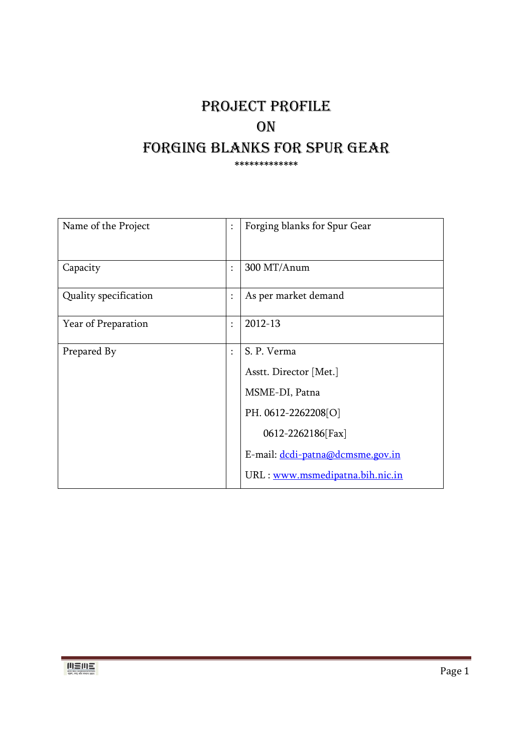# PROJECT PROFILE **ON** FORGING BLANKS FOR SPUR GEAR \*\*\*\*\*\*\*\*\*\*\*\*\*

| Name of the Project   |                      | Forging blanks for Spur Gear     |
|-----------------------|----------------------|----------------------------------|
|                       |                      |                                  |
| Capacity              | $\ddot{\cdot}$       | 300 MT/Anum                      |
| Quality specification | $\ddot{\phantom{a}}$ | As per market demand             |
| Year of Preparation   | $\ddot{\phantom{a}}$ | 2012-13                          |
| Prepared By           | $\vdots$             | S. P. Verma                      |
|                       |                      | Asstt. Director [Met.]           |
|                       |                      | MSME-DI, Patna                   |
|                       |                      | PH. 0612-2262208[O]              |
|                       |                      | 0612-2262186[Fax]                |
|                       |                      | E-mail: dcdi-patna@dcmsme.gov.in |
|                       |                      | URL : www.msmedipatna.bih.nic.in |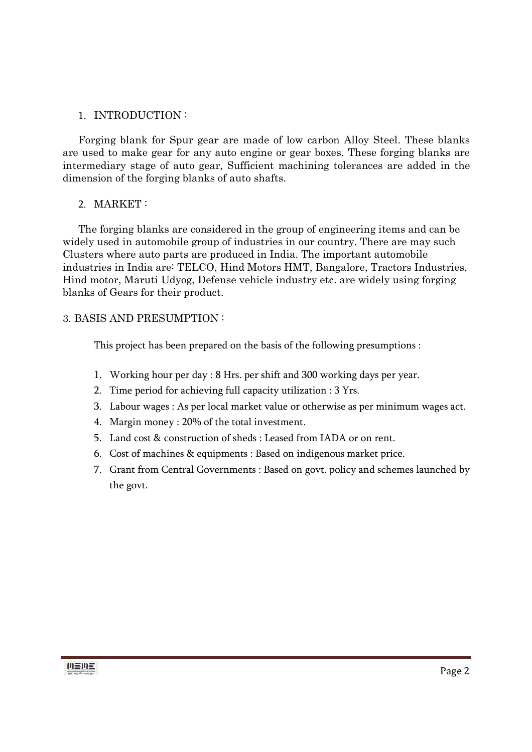### 1. INTRODUCTION :

Forging blank for Spur gear are made of low carbon Alloy Steel. These blanks are used to make gear for any auto engine or gear boxes. These forging blanks are intermediary stage of auto gear, Sufficient machining tolerances are added in the dimension of the forging blanks of auto shafts.

### 2. MARKET :

The forging blanks are considered in the group of engineering items and can be widely used in automobile group of industries in our country. There are may such Clusters where auto parts are produced in India. The important automobile industries in India are: TELCO, Hind Motors HMT, Bangalore, Tractors Industries, Hind motor, Maruti Udyog, Defense vehicle industry etc. are widely using forging blanks of Gears for their product.

### 3. BASIS AND PRESUMPTION :

This project has been prepared on the basis of the following presumptions :

- 1. Working hour per day : 8 Hrs. per shift and 300 working days per year.
- 2. Time period for achieving full capacity utilization : 3 Yrs.
- 3. Labour wages : As per local market value or otherwise as per minimum wages act.
- 4. Margin money : 20% of the total investment.
- 5. Land cost & construction of sheds : Leased from IADA or on rent.
- 6. Cost of machines & equipments : Based on indigenous market price.
- 7. Grant from Central Governments : Based on govt. policy and schemes launched by the govt.

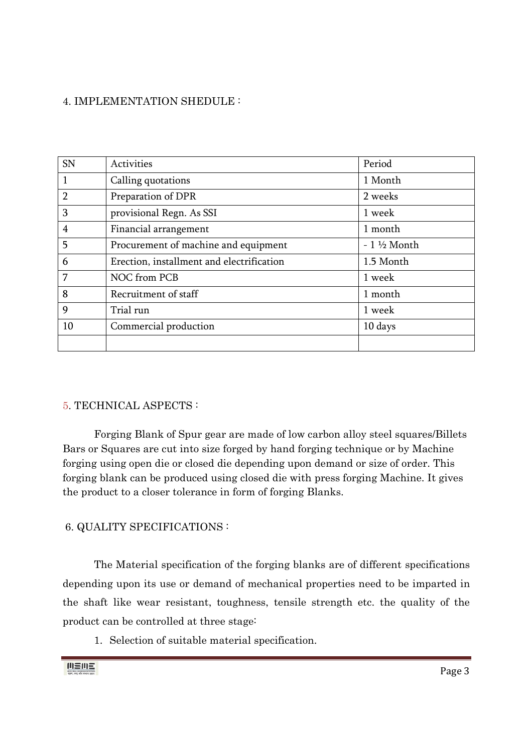### 4. IMPLEMENTATION SHEDULE :

| <b>SN</b>      | Activities                                | Period                |
|----------------|-------------------------------------------|-----------------------|
| 1              | Calling quotations                        | 1 Month               |
| $\overline{2}$ | Preparation of DPR                        | 2 weeks               |
| 3              | provisional Regn. As SSI                  | 1 week                |
| 4              | Financial arrangement                     | 1 month               |
| 5              | Procurement of machine and equipment      | $-1\frac{1}{2}$ Month |
| 6              | Erection, installment and electrification | 1.5 Month             |
| 7              | NOC from PCB                              | 1 week                |
| 8              | Recruitment of staff                      | 1 month               |
| 9              | Trial run                                 | 1 week                |
| 10             | Commercial production                     | 10 days               |
|                |                                           |                       |

### 5. TECHNICAL ASPECTS :

 Forging Blank of Spur gear are made of low carbon alloy steel squares/Billets Bars or Squares are cut into size forged by hand forging technique or by Machine forging using open die or closed die depending upon demand or size of order. This forging blank can be produced using closed die with press forging Machine. It gives the product to a closer tolerance in form of forging Blanks.

### 6. QUALITY SPECIFICATIONS :

 The Material specification of the forging blanks are of different specifications depending upon its use or demand of mechanical properties need to be imparted in the shaft like wear resistant, toughness, tensile strength etc. the quality of the product can be controlled at three stage:

1. Selection of suitable material specification.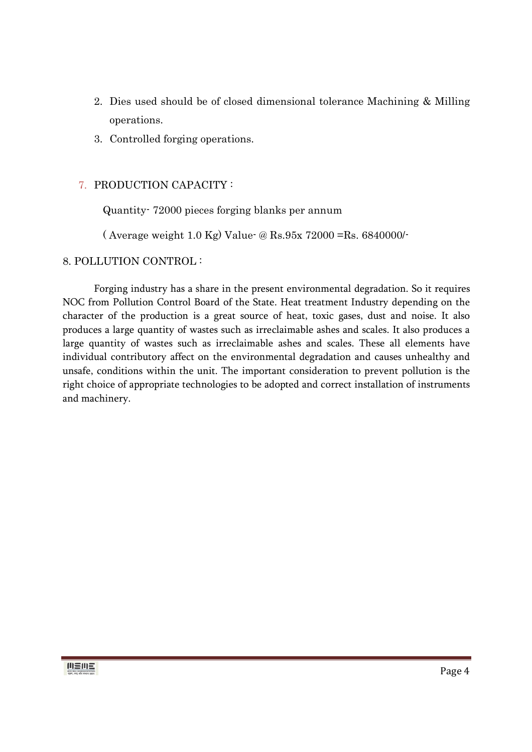- 2. Dies used should be of closed dimensional tolerance Machining & Milling operations.
- 3. Controlled forging operations.

### 7. PRODUCTION CAPACITY :

Quantity- 72000 pieces forging blanks per annum

( Average weight 1.0 Kg) Value- @ Rs.95x 72000 =Rs. 6840000/-

### 8. POLLUTION CONTROL :

 Forging industry has a share in the present environmental degradation. So it requires NOC from Pollution Control Board of the State. Heat treatment Industry depending on the character of the production is a great source of heat, toxic gases, dust and noise. It also produces a large quantity of wastes such as irreclaimable ashes and scales. It also produces a large quantity of wastes such as irreclaimable ashes and scales. These all elements have individual contributory affect on the environmental degradation and causes unhealthy and unsafe, conditions within the unit. The important consideration to prevent pollution is the right choice of appropriate technologies to be adopted and correct installation of instruments and machinery.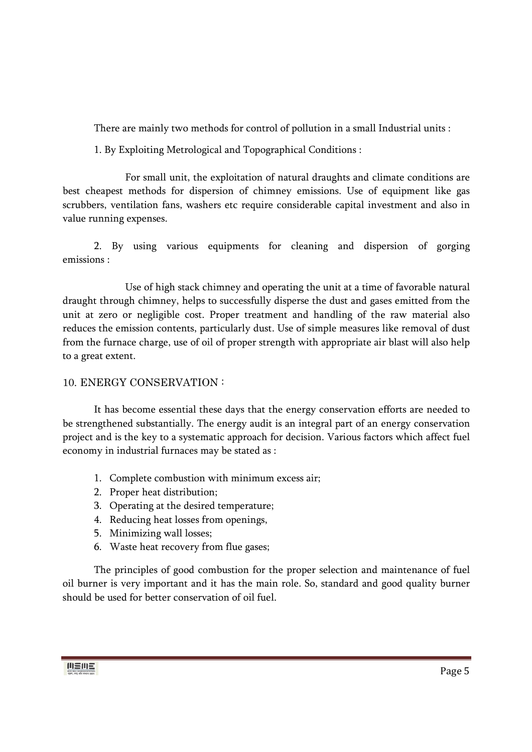There are mainly two methods for control of pollution in a small Industrial units :

1. By Exploiting Metrological and Topographical Conditions :

 For small unit, the exploitation of natural draughts and climate conditions are best cheapest methods for dispersion of chimney emissions. Use of equipment like gas scrubbers, ventilation fans, washers etc require considerable capital investment and also in value running expenses.

 2. By using various equipments for cleaning and dispersion of gorging emissions :

 Use of high stack chimney and operating the unit at a time of favorable natural draught through chimney, helps to successfully disperse the dust and gases emitted from the unit at zero or negligible cost. Proper treatment and handling of the raw material also reduces the emission contents, particularly dust. Use of simple measures like removal of dust from the furnace charge, use of oil of proper strength with appropriate air blast will also help to a great extent.

### 10. ENERGY CONSERVATION :

 It has become essential these days that the energy conservation efforts are needed to be strengthened substantially. The energy audit is an integral part of an energy conservation project and is the key to a systematic approach for decision. Various factors which affect fuel economy in industrial furnaces may be stated as :

- 1. Complete combustion with minimum excess air;
- 2. Proper heat distribution;
- 3. Operating at the desired temperature;
- 4. Reducing heat losses from openings,
- 5. Minimizing wall losses;
- 6. Waste heat recovery from flue gases;

The principles of good combustion for the proper selection and maintenance of fuel oil burner is very important and it has the main role. So, standard and good quality burner should be used for better conservation of oil fuel.

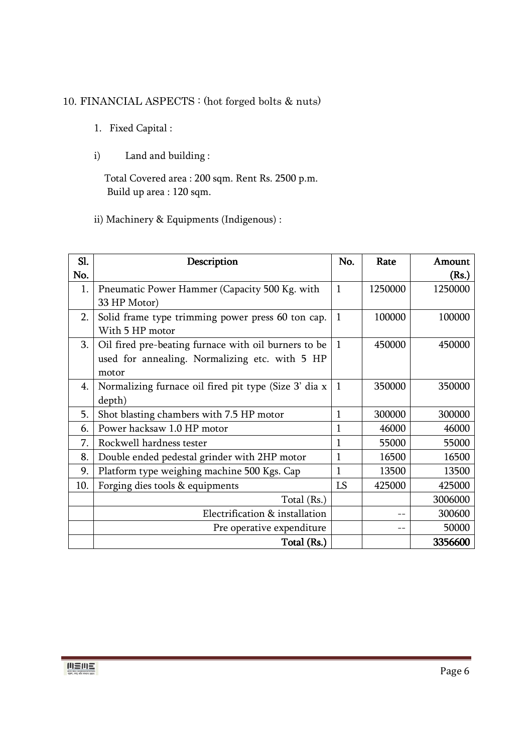### 10. FINANCIAL ASPECTS : (hot forged bolts & nuts)

- 1. Fixed Capital :
- i) Land and building :

 Total Covered area : 200 sqm. Rent Rs. 2500 p.m. Build up area : 120 sqm.

ii) Machinery & Equipments (Indigenous) :

| Sl. | Description                                           | No.          | Rate    | Amount  |
|-----|-------------------------------------------------------|--------------|---------|---------|
| No. |                                                       |              |         | (Rs.)   |
| 1.  | Pneumatic Power Hammer (Capacity 500 Kg. with         | $\mathbf{1}$ | 1250000 | 1250000 |
|     | 33 HP Motor)                                          |              |         |         |
| 2.  | Solid frame type trimming power press 60 ton cap.     | $\mathbf{1}$ | 100000  | 100000  |
|     | With 5 HP motor                                       |              |         |         |
| 3.  | Oil fired pre-beating furnace with oil burners to be  | $\mathbf{1}$ | 450000  | 450000  |
|     | used for annealing. Normalizing etc. with 5 HP        |              |         |         |
|     | motor                                                 |              |         |         |
| 4.  | Normalizing furnace oil fired pit type (Size 3' dia x | $\mathbf{1}$ | 350000  | 350000  |
|     | depth)                                                |              |         |         |
| 5.  | Shot blasting chambers with 7.5 HP motor              | 1            | 300000  | 300000  |
| 6.  | Power hacksaw 1.0 HP motor                            | 1            | 46000   | 46000   |
| 7.  | Rockwell hardness tester                              |              | 55000   | 55000   |
| 8.  | Double ended pedestal grinder with 2HP motor          | 1            | 16500   | 16500   |
| 9.  | Platform type weighing machine 500 Kgs. Cap           | 1            | 13500   | 13500   |
| 10. | Forging dies tools & equipments                       | LS           | 425000  | 425000  |
|     | Total (Rs.)                                           |              |         | 3006000 |
|     | Electrification & installation                        |              |         | 300600  |
|     | Pre operative expenditure                             |              |         | 50000   |
|     | Total (Rs.)                                           |              |         | 3356600 |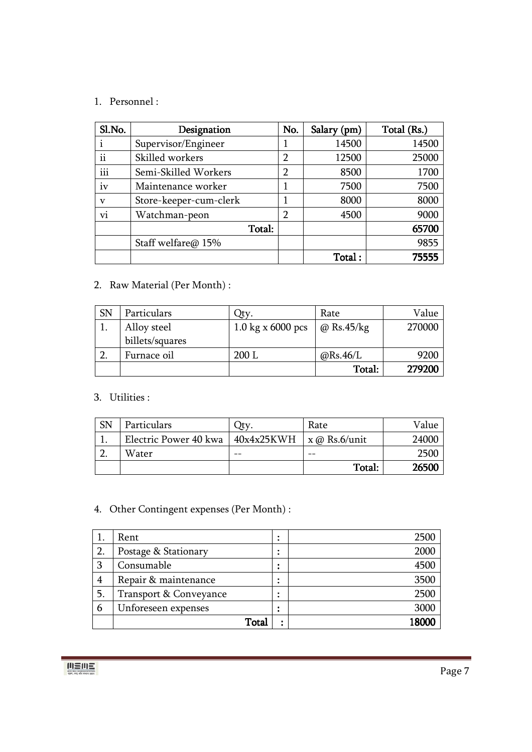### 1. Personnel :

| Sl.No.      | Designation            | No.            | Salary (pm) | Total (Rs.) |
|-------------|------------------------|----------------|-------------|-------------|
|             | Supervisor/Engineer    |                | 14500       | 14500       |
| ii          | Skilled workers        | $\overline{2}$ | 12500       | 25000       |
| iii         | Semi-Skilled Workers   | $\overline{2}$ | 8500        | 1700        |
| İV          | Maintenance worker     |                | 7500        | 7500        |
| $\mathbf v$ | Store-keeper-cum-clerk |                | 8000        | 8000        |
| vi          | Watchman-peon          | 2              | 4500        | 9000        |
|             | Total:                 |                |             | 65700       |
|             | Staff welfare@ 15%     |                |             | 9855        |
|             |                        |                | Total:      | 75555       |

### 2. Raw Material (Per Month) :

| <b>SN</b> | Particulars     | Ity.                | Rate              | Value  |
|-----------|-----------------|---------------------|-------------------|--------|
|           | Alloy steel     | 1.0 kg x $6000$ pcs | $\omega$ Rs.45/kg | 270000 |
|           | billets/squares |                     |                   |        |
|           | Furnace oil     | 200 L               | @Rs.46/L          | 9200   |
|           |                 |                     | Total:            | 279200 |

### 3. Utilities :

| SN | Particulars                                          | Rate   | Value |
|----|------------------------------------------------------|--------|-------|
|    | Electric Power 40 kwa   $40x4x25KWH$   x @ Rs.6/unit |        | 24000 |
|    | Water                                                |        | 2500  |
|    |                                                      | Total: | 26500 |

## 4. Other Contingent expenses (Per Month) :

|    | Rent                   | ٠<br>٠ | 2500   |
|----|------------------------|--------|--------|
| 2. | Postage & Stationary   | ٠<br>٠ | 2000   |
| 3  | Consumable             | ٠      | 4500   |
| 4  | Repair & maintenance   | ٠      | 3500   |
|    | Transport & Conveyance |        | 2500   |
| 6  | Unforeseen expenses    | ٠      | 3000   |
|    | Total                  |        | I ROOC |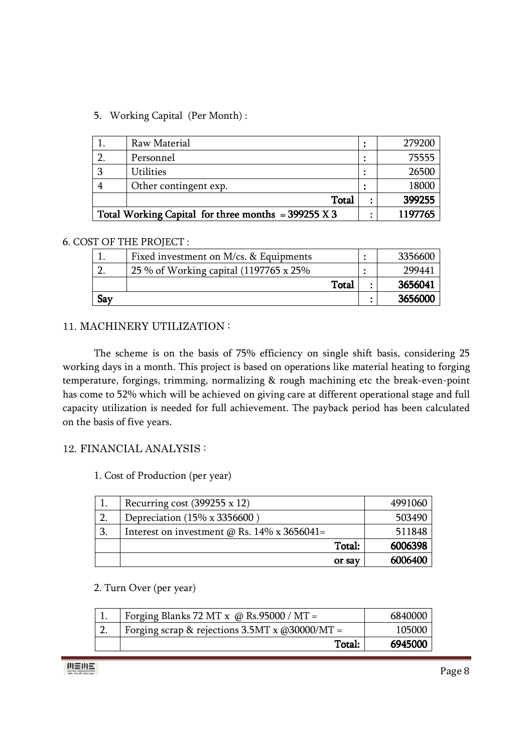### 5. Working Capital (Per Month) :

| Raw Material                                          | ٠ | 279200  |
|-------------------------------------------------------|---|---------|
| Personnel                                             |   | 75555   |
| <b>Utilities</b>                                      |   | 26500   |
| Other contingent exp.                                 |   | 18000   |
| Total                                                 |   | 399255  |
| Total Working Capital for three months = $399255 X 3$ |   | 1197765 |

### 6. COST OF THE PROJECT :

|     | Fixed investment on M/cs. & Equipments  | 3356600 |
|-----|-----------------------------------------|---------|
|     | 25 % of Working capital (1197765 x 25%) | 29944   |
|     | Total                                   | 3656041 |
| Say |                                         | 3656000 |

### 11. MACHINERY UTILIZATION :

 The scheme is on the basis of 75% efficiency on single shift basis, considering 25 working days in a month. This project is based on operations like material heating to forging temperature, forgings, trimming, normalizing & rough machining etc the break-even-point has come to 52% which will be achieved on giving care at different operational stage and full capacity utilization is needed for full achievement. The payback period has been calculated on the basis of five years.

### 12. FINANCIAL ANALYSIS :

### 1. Cost of Production (per year)

|              | Recurring cost (399255 x 12)                       | 4991060 |
|--------------|----------------------------------------------------|---------|
| 2.           | Depreciation (15% x 3356600)                       | 503490  |
| $\mathbf{3}$ | Interest on investment $\omega$ Rs. 14% x 3656041= | 511848  |
|              | Total:                                             | 6006398 |
|              | or say                                             | 6006400 |

### 2. Turn Over (per year)

| Forging Blanks 72 MT x $\omega$ Rs.95000 / MT =               | 6840000 |
|---------------------------------------------------------------|---------|
| Forging scrap & rejections $3.5MT \times \omega$ (030000/MT = | 105000  |
| Total:                                                        | 6945000 |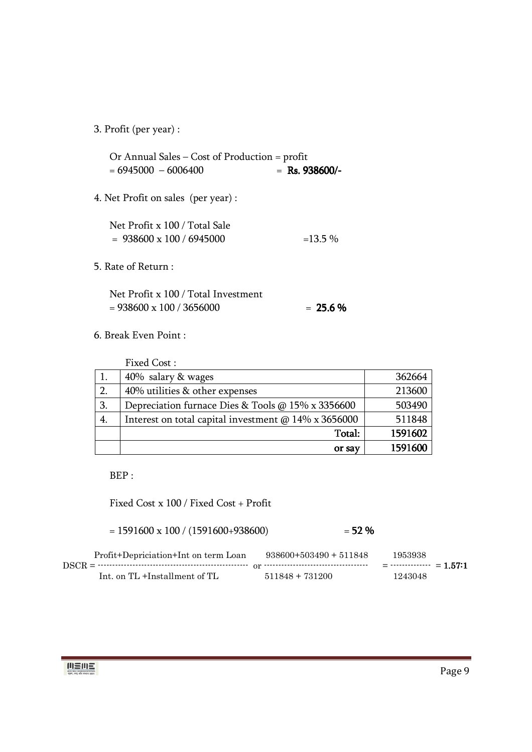3. Profit (per year) :

Or Annual Sales – Cost of Production = profit  $= 6945000 - 6006400$   $=$  **Rs. 938600/-**

4. Net Profit on sales (per year) :

| Net Profit x 100 / Total Sale   |           |
|---------------------------------|-----------|
| $= 938600 \times 100 / 6945000$ | $=13.5\%$ |

5. Rate of Return :

| Net Profit x 100 / Total Investment |             |
|-------------------------------------|-------------|
| $= 938600 \times 100 / 3656000$     | $= 25.6 \%$ |

6. Break Even Point :

|    | Fixed Cost:                                          |         |
|----|------------------------------------------------------|---------|
|    | 40% salary & wages                                   | 362664  |
| 2. | 40% utilities & other expenses                       | 213600  |
| 3. | Depreciation furnace Dies & Tools @ 15% x 3356600    | 503490  |
| 4. | Interest on total capital investment @ 14% x 3656000 | 511848  |
|    | Total:                                               | 1591602 |
|    | or say                                               | 1591600 |

BEP :

Fixed Cost x 100 / Fixed Cost + Profit

 $= 1591600 \times 100 / (1591600 + 938600)$   $= 52\%$ 

| Profit+Depriciation+Int on term Loan | $938600+503490+511848$ | 1953938                     |
|--------------------------------------|------------------------|-----------------------------|
|                                      |                        | $=$ -------------- = 1.57:1 |
| Int. on TL +Installment of TL        | $511848 + 731200$      | 1243048                     |